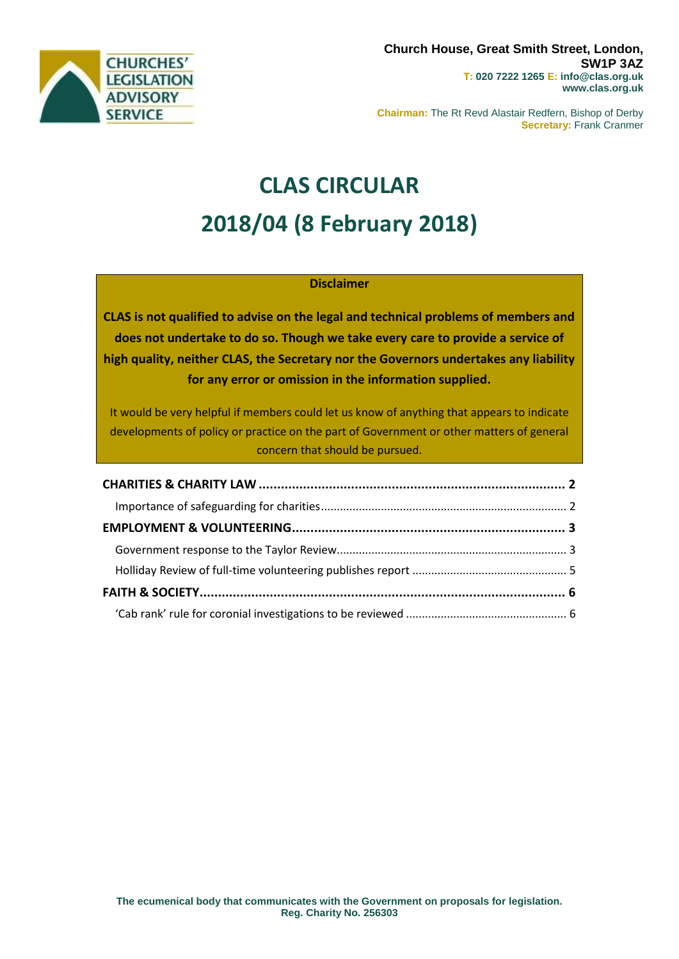

**Chairman:** The Rt Revd Alastair Redfern, Bishop of Derby **Secretary:** Frank Cranmer

# **CLAS CIRCULAR 2018/04 (8 February 2018)**

## **Disclaimer**

**CLAS is not qualified to advise on the legal and technical problems of members and does not undertake to do so. Though we take every care to provide a service of high quality, neither CLAS, the Secretary nor the Governors undertakes any liability for any error or omission in the information supplied.**

It would be very helpful if members could let us know of anything that appears to indicate developments of policy or practice on the part of Government or other matters of general concern that should be pursued.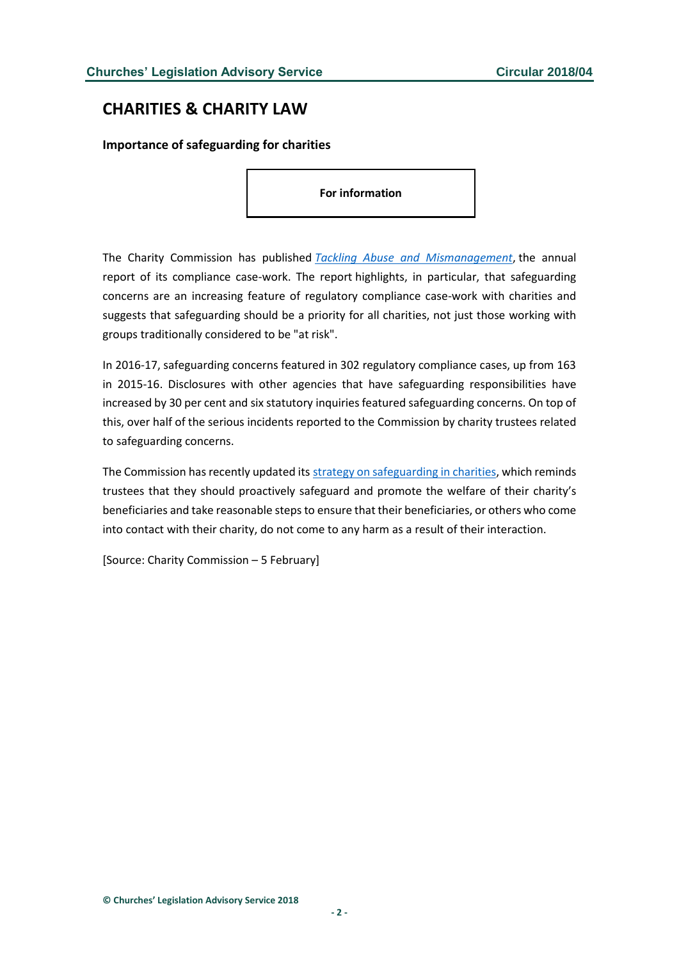## <span id="page-1-0"></span>**CHARITIES & CHARITY LAW**

### <span id="page-1-1"></span>**Importance of safeguarding for charities**

**For information**

The Charity Commission has published *[Tackling Abuse and Mismanagement](http://www.gov.uk/government/publications/tackling-abuse-and-mismanagement-2016-17)*, the annual report of its compliance case-work. The report highlights, in particular, that safeguarding concerns are an increasing feature of regulatory compliance case-work with charities and suggests that safeguarding should be a priority for all charities, not just those working with groups traditionally considered to be "at risk".

In 2016-17, safeguarding concerns featured in 302 regulatory compliance cases, up from 163 in 2015-16. Disclosures with other agencies that have safeguarding responsibilities have increased by 30 per cent and six statutory inquiries featured safeguarding concerns. On top of this, over half of the serious incidents reported to the Commission by charity trustees related to safeguarding concerns.

The Commission has recently updated its [strategy on safeguarding in charities,](http://www.gov.uk/government/publications/strategy-for-dealing-with-safeguarding-issues-in-charities) which reminds trustees that they should proactively safeguard and promote the welfare of their charity's beneficiaries and take reasonable steps to ensure that their beneficiaries, or others who come into contact with their charity, do not come to any harm as a result of their interaction.

[Source: Charity Commission – 5 February]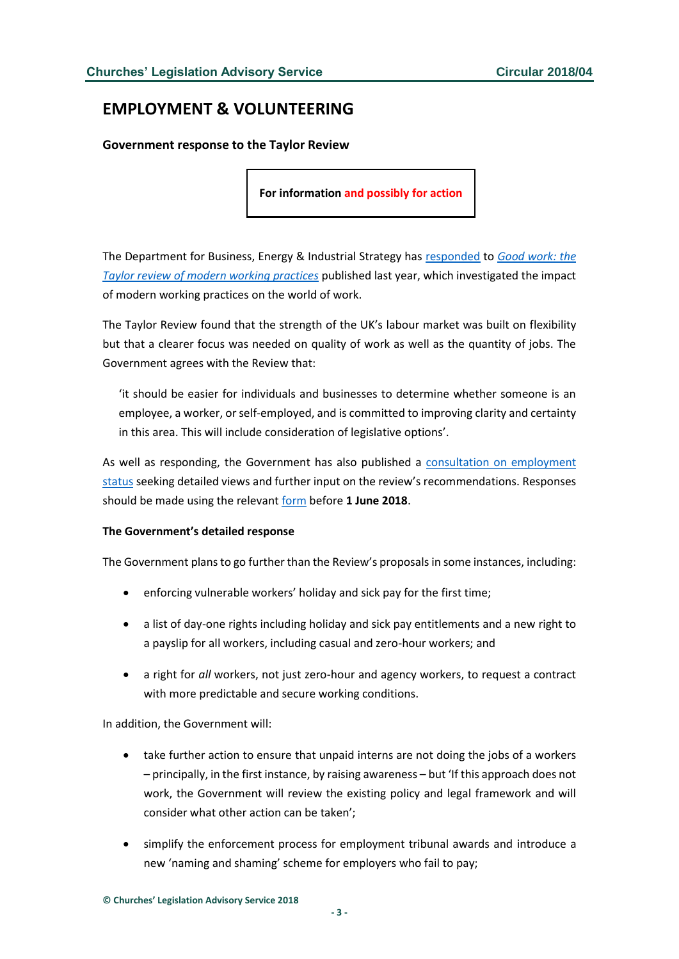# <span id="page-2-0"></span>**EMPLOYMENT & VOLUNTEERING**

<span id="page-2-1"></span>**Government response to the Taylor Review**

**For information and possibly for action**

The Department for Business, Energy & Industrial Strategy has [responded](https://www.gov.uk/government/uploads/system/uploads/attachment_data/file/679767/180206_BEIS_Good_Work_Report__Accessible_A4_.pdf) to *[Good work: the](https://www.gov.uk/government/publications/good-work-the-taylor-review-of-modern-working-practices)  [Taylor review of modern working practices](https://www.gov.uk/government/publications/good-work-the-taylor-review-of-modern-working-practices)* published last year, which investigated the impact of modern working practices on the world of work.

The Taylor Review found that the strength of the UK's labour market was built on flexibility but that a clearer focus was needed on quality of work as well as the quantity of jobs. The Government agrees with the Review that:

'it should be easier for individuals and businesses to determine whether someone is an employee, a worker, or self-employed, and is committed to improving clarity and certainty in this area. This will include consideration of legislative options'.

As well as responding, the Government has also published a [consultation on employment](https://www.gov.uk/government/uploads/system/uploads/attachment_data/file/679853/FINAL_-_Employment_Status_consultation_-_FOR_UPLOADING_and_PRINTING.pdf)  [status](https://www.gov.uk/government/uploads/system/uploads/attachment_data/file/679853/FINAL_-_Employment_Status_consultation_-_FOR_UPLOADING_and_PRINTING.pdf) seeking detailed views and further input on the review's recommendations. Responses should be made using the relevant [form](http://www.gov.uk/government/consultations/employment-status) before **1 June 2018**.

#### **The Government's detailed response**

The Government plans to go further than the Review's proposals in some instances, including:

- enforcing vulnerable workers' holiday and sick pay for the first time;
- a list of day-one rights including holiday and sick pay entitlements and a new right to a payslip for all workers, including casual and zero-hour workers; and
- a right for *all* workers, not just zero-hour and agency workers, to request a contract with more predictable and secure working conditions.

In addition, the Government will:

- take further action to ensure that unpaid interns are not doing the jobs of a workers – principally, in the first instance, by raising awareness – but 'If this approach does not work, the Government will review the existing policy and legal framework and will consider what other action can be taken';
- simplify the enforcement process for employment tribunal awards and introduce a new 'naming and shaming' scheme for employers who fail to pay;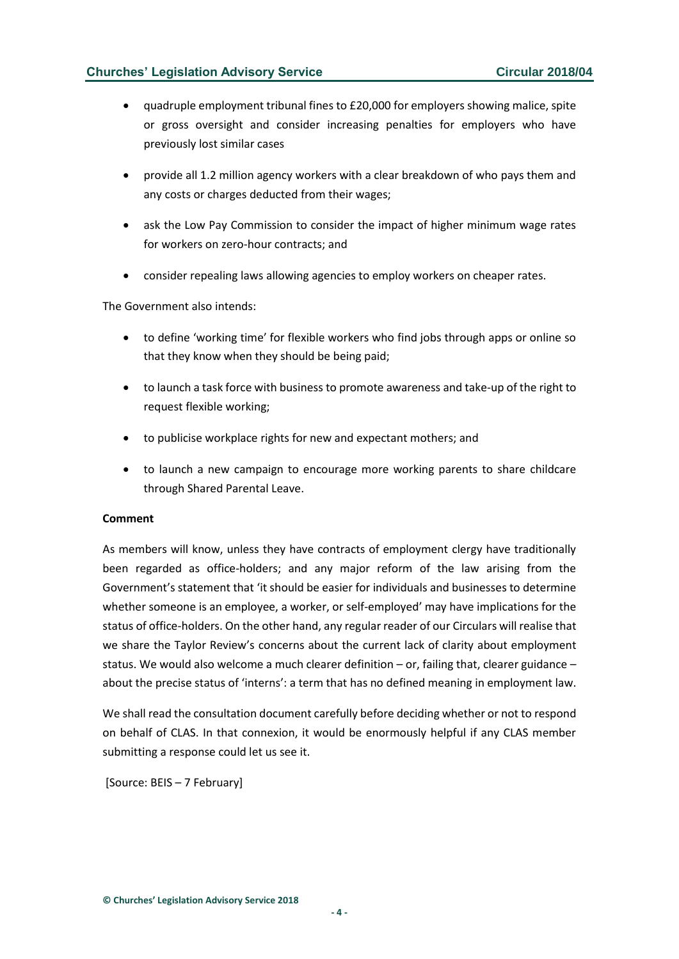- quadruple employment tribunal fines to £20,000 for employers showing malice, spite or gross oversight and consider increasing penalties for employers who have previously lost similar cases
- provide all 1.2 million agency workers with a clear breakdown of who pays them and any costs or charges deducted from their wages;
- ask the Low Pay Commission to consider the impact of higher minimum wage rates for workers on zero-hour contracts; and
- consider repealing laws allowing agencies to employ workers on cheaper rates.

The Government also intends:

- to define 'working time' for flexible workers who find jobs through apps or online so that they know when they should be being paid;
- to launch a task force with business to promote awareness and take-up of the right to request flexible working;
- to publicise workplace rights for new and expectant mothers; and
- to launch a new campaign to encourage more working parents to share childcare through Shared Parental Leave.

#### **Comment**

As members will know, unless they have contracts of employment clergy have traditionally been regarded as office-holders; and any major reform of the law arising from the Government's statement that 'it should be easier for individuals and businesses to determine whether someone is an employee, a worker, or self-employed' may have implications for the status of office-holders. On the other hand, any regular reader of our Circulars will realise that we share the Taylor Review's concerns about the current lack of clarity about employment status. We would also welcome a much clearer definition – or, failing that, clearer guidance – about the precise status of 'interns': a term that has no defined meaning in employment law.

We shall read the consultation document carefully before deciding whether or not to respond on behalf of CLAS. In that connexion, it would be enormously helpful if any CLAS member submitting a response could let us see it.

[Source: BEIS – 7 February]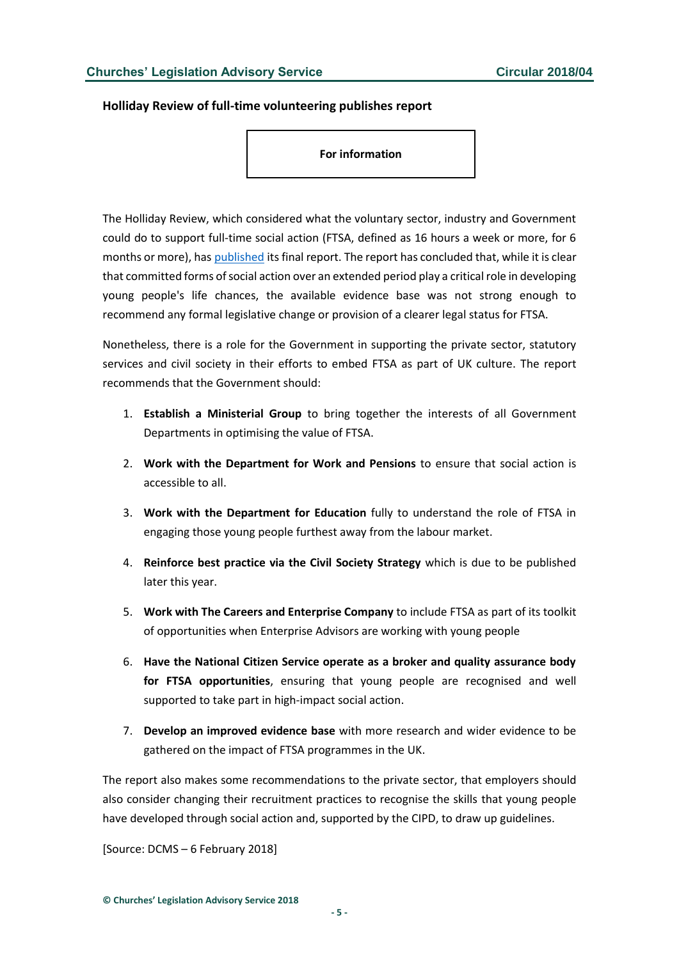#### <span id="page-4-0"></span>**Holliday Review of full-time volunteering publishes report**

**For information**

The Holliday Review, which considered what the voluntary sector, industry and Government could do to support full-time social action (FTSA, defined as 16 hours a week or more, for 6 months or more), has [published](http://www.gov.uk/government/uploads/system/uploads/attachment_data/file/679078/The_Steve_Holliday_Report.pdf) its final report. The report has concluded that, while it is clear that committed forms of social action over an extended period play a critical role in developing young people's life chances, the available evidence base was not strong enough to recommend any formal legislative change or provision of a clearer legal status for FTSA.

Nonetheless, there is a role for the Government in supporting the private sector, statutory services and civil society in their efforts to embed FTSA as part of UK culture. The report recommends that the Government should:

- 1. **Establish a Ministerial Group** to bring together the interests of all Government Departments in optimising the value of FTSA.
- 2. **Work with the Department for Work and Pensions** to ensure that social action is accessible to all.
- 3. **Work with the Department for Education** fully to understand the role of FTSA in engaging those young people furthest away from the labour market.
- 4. **Reinforce best practice via the Civil Society Strategy** which is due to be published later this year.
- 5. **Work with The Careers and Enterprise Company** to include FTSA as part of its toolkit of opportunities when Enterprise Advisors are working with young people
- 6. **Have the National Citizen Service operate as a broker and quality assurance body for FTSA opportunities**, ensuring that young people are recognised and well supported to take part in high-impact social action.
- 7. **Develop an improved evidence base** with more research and wider evidence to be gathered on the impact of FTSA programmes in the UK.

The report also makes some recommendations to the private sector, that employers should also consider changing their recruitment practices to recognise the skills that young people have developed through social action and, supported by the CIPD, to draw up guidelines.

[Source: DCMS – 6 February 2018]